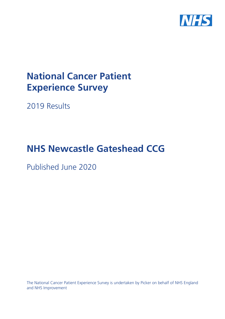

# **National Cancer Patient Experience Survey**

2019 Results

# **NHS Newcastle Gateshead CCG**

Published June 2020

The National Cancer Patient Experience Survey is undertaken by Picker on behalf of NHS England and NHS Improvement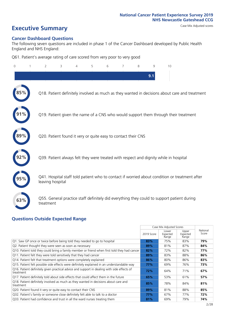# **Executive Summary** Case Mix Adjusted scores

### **Cancer Dashboard Questions**

The following seven questions are included in phase 1 of the Cancer Dashboard developed by Public Health England and NHS England:

Q61. Patient's average rating of care scored from very poor to very good

| $\Omega$ | $\overline{2}$                                                | 3 | 4 | 5 | 6 | 7 | 8 | 9   | 10                                                                                            |
|----------|---------------------------------------------------------------|---|---|---|---|---|---|-----|-----------------------------------------------------------------------------------------------|
|          |                                                               |   |   |   |   |   |   | 9.1 |                                                                                               |
|          |                                                               |   |   |   |   |   |   |     | Q18. Patient definitely involved as much as they wanted in decisions about care and treatment |
|          |                                                               |   |   |   |   |   |   |     | Q19. Patient given the name of a CNS who would support them through their treatment           |
|          | Q20. Patient found it very or quite easy to contact their CNS |   |   |   |   |   |   |     |                                                                                               |
|          |                                                               |   |   |   |   |   |   |     | Q39. Patient always felt they were treated with respect and dignity while in hospital         |
|          | leaving hospital                                              |   |   |   |   |   |   |     | Q41. Hospital staff told patient who to contact if worried about condition or treatment after |
| 63%      | treatment                                                     |   |   |   |   |   |   |     | Q55. General practice staff definitely did everything they could to support patient during    |

### **Questions Outside Expected Range**

|                                                                                                         |            | Case Mix Adjusted Scores   |                            |                   |
|---------------------------------------------------------------------------------------------------------|------------|----------------------------|----------------------------|-------------------|
|                                                                                                         | 2019 Score | Lower<br>Expected<br>Range | Upper<br>Expected<br>Range | National<br>Score |
| Q1. Saw GP once or twice before being told they needed to go to hospital                                | 83%        | 75%                        | 83%                        | 79%               |
| Q2. Patient thought they were seen as soon as necessary                                                 | 89%        | 81%                        | 87%                        | 84%               |
| Q10. Patient told they could bring a family member or friend when first told they had cancer            | 82%        | 72%                        | 82%                        | 77%               |
| Q11. Patient felt they were told sensitively that they had cancer                                       | 89%        | 83%                        | 88%                        | 86%               |
| Q14. Patient felt that treatment options were completely explained                                      | 86%        | 80%                        | 86%                        | 83%               |
| Q15. Patient felt possible side effects were definitely explained in an understandable way              | 77%        | 69%                        | 76%                        | 73%               |
| Q16. Patient definitely given practical advice and support in dealing with side effects of<br>treatment | 72%        | 64%                        | 71%                        | 67%               |
| Q17. Patient definitely told about side effects that could affect them in the future                    | 65%        | 53%                        | 61%                        | 57%               |
| Q18. Patient definitely involved as much as they wanted in decisions about care and<br>treatment        | 85%        | 78%                        | 84%                        | 81%               |
| Q20. Patient found it very or quite easy to contact their CNS                                           | 89%        | 81%                        | 88%                        | 85%               |
| Q32. Patient's family or someone close definitely felt able to talk to a doctor                         | 77%        | 67%                        | 77%                        | 72%               |
| Q33. Patient had confidence and trust in all the ward nurses treating them                              | 81%        | 69%                        | 79%                        | 74%               |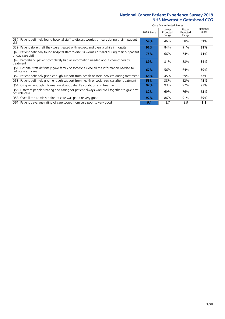|                                                                                                                       |            | Case Mix Adjusted Scores   |                            |                   |
|-----------------------------------------------------------------------------------------------------------------------|------------|----------------------------|----------------------------|-------------------|
|                                                                                                                       | 2019 Score | Lower<br>Expected<br>Range | Upper<br>Expected<br>Range | National<br>Score |
| Q37. Patient definitely found hospital staff to discuss worries or fears during their inpatient<br>visit              | 59%        | 46%                        | 58%                        | 52%               |
| Q39. Patient always felt they were treated with respect and dignity while in hospital                                 | 92%        | 84%                        | 91%                        | 88%               |
| Q43. Patient definitely found hospital staff to discuss worries or fears during their outpatient<br>or day case visit | 75%        | 66%                        | 74%                        | 71%               |
| Q49. Beforehand patient completely had all information needed about chemotherapy<br>treatment                         | 89%        | 81%                        | 88%                        | 84%               |
| Q51. Hospital staff definitely gave family or someone close all the information needed to<br>help care at home        | 67%        | 56%                        | 64%                        | 60%               |
| Q52. Patient definitely given enough support from health or social services during treatment                          | 65%        | 45%                        | 59%                        | 52%               |
| Q53. Patient definitely given enough support from health or social services after treatment                           | 58%        | 38%                        | 52%                        | 45%               |
| Q54. GP given enough information about patient's condition and treatment                                              | 97%        | 93%                        | 97%                        | 95%               |
| Q56. Different people treating and caring for patient always work well together to give best<br>possible care         | 82%        | 69%                        | 76%                        | 73%               |
| Q58. Overall the administration of care was good or very good                                                         | 92%        | 86%                        | 91%                        | 89%               |
| Q61. Patient's average rating of care scored from very poor to very good                                              | 9.1        | 8.7                        | 8.9                        | 8.8               |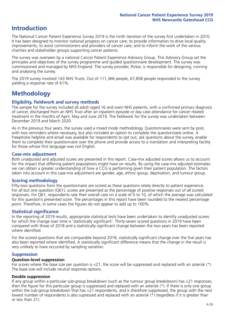### **Introduction**

The National Cancer Patient Experience Survey 2019 is the ninth iteration of the survey first undertaken in 2010. It has been designed to monitor national progress on cancer care; to provide information to drive local quality improvements; to assist commissioners and providers of cancer care; and to inform the work of the various charities and stakeholder groups supporting cancer patients.

The survey was overseen by a national Cancer Patient Experience Advisory Group. This Advisory Group set the principles and objectives of the survey programme and guided questionnaire development. The survey was commissioned and managed by NHS England. The survey provider, Picker, is responsible for designing, running and analysing the survey.

The 2019 survey involved 143 NHS Trusts. Out of 111,366 people, 67,858 people responded to the survey, yielding a response rate of 61%.

## **Methodology**

### **Eligibility, fieldwork and survey methods**

The sample for the survey included all adult (aged 16 and over) NHS patients, with a confirmed primary diagnosis of cancer, discharged from an NHS Trust after an inpatient episode or day case attendance for cancer related treatment in the months of April, May and June 2019. The fieldwork for the survey was undertaken between December 2019 and March 2020.

As in the previous four years, the survey used a mixed mode methodology. Questionnaires were sent by post, with two reminders where necessary, but also included an option to complete the questionnaire online. A Freephone helpline and email was available for respondents to opt out, ask questions about the survey, enable them to complete their questionnaire over the phone and provide access to a translation and interpreting facility for those whose first language was not English.

### **Case-mix adjustment**

Both unadjusted and adjusted scores are presented in this report. Case-mix adjusted scores allows us to account for the impact that differing patient populations might have on results. By using the case-mix adjusted estimates we can obtain a greater understanding of how a CCG is performing given their patient population. The factors taken into account in this case-mix adjustment are gender, age, ethnic group, deprivation, and tumour group.

### **Scoring methodology**

Fifty-two questions from the questionnaire are scored as these questions relate directly to patient experience. For all but one question (Q61), scores are presented as the percentage of positive responses out of all scored responses. For Q61, respondents rate their overall care on a scale of 0 to 10, of which the average was calculated for this question's presented score. The percentages in this report have been rounded to the nearest percentage point. Therefore, in some cases the figures do not appear to add up to 100%.

### **Statistical significance**

In the reporting of 2019 results, appropriate statistical tests have been undertaken to identify unadjusted scores for which the change over time is 'statistically significant'. Thirty-seven scored questions in 2019 have been compared with those of 2018 and a statistically significant change between the two years has been reported where identified.

For the scored questions that are comparable beyond 2018, statistically significant change over the five years has also been reported where identified. A statistically significant difference means that the change in the result is very unlikely to have occurred by sampling variation.

### **Suppression**

### **Question-level suppression**

For scores where the base size per question is  $<$ 21, the score will be suppressed and replaced with an asterisk (\*). The base size will include neutral response options.

### **Double suppression**

If any group within a particular sub-group breakdown (such as the tumour group breakdown) has <21 responses, then the figure for this particular group is suppressed and replaced with an asterisk (\*). If there is only one group within the sub-group breakdown that has <21 respondents, and is therefore suppressed, the group with the next lowest number of respondents is also supressed and replaced with an asterisk (\*) (regardless if it is greater than or less than 21).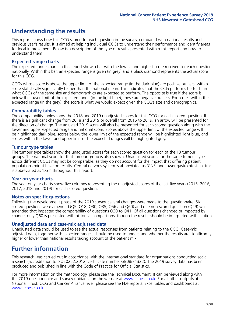### **Understanding the results**

This report shows how this CCG scored for each question in the survey, compared with national results and previous year's results. It is aimed at helping individual CCGs to understand their performance and identify areas for local improvement. Below is a description of the type of results presented within this report and how to understand them.

### **Expected range charts**

The expected range charts in this report show a bar with the lowest and highest score received for each question nationally. Within this bar, an expected range is given (in grey) and a black diamond represents the actual score for this CCG.

CCGs whose score is above the upper limit of the expected range (in the dark blue) are positive outliers, with a score statistically significantly higher than the national mean. This indicates that the CCG performs better than what CCGs of the same size and demographics are expected to perform. The opposite is true if the score is below the lower limit of the expected range (in the light blue); these are negative outliers. For scores within the expected range (in the grey), the score is what we would expect given the CCG's size and demographics.

### **Comparability tables**

The comparability tables show the 2018 and 2019 unadjusted scores for this CCG for each scored question. If there is a significant change from 2018 and 2019 or overall from 2015 to 2019, an arrow will be presented for the direction of change. The adjusted 2019 score will also be presented for each scored question along with the lower and upper expected range and national score. Scores above the upper limit of the expected range will be highlighted dark blue, scores below the lower limit of the expected range will be highlighted light blue, and scores within the lower and upper limit of the expected ranges will be highlighted grey.

### **Tumour type tables**

The tumour type tables show the unadjusted scores for each scored question for each of the 13 tumour groups. The national score for that tumour group is also shown. Unadjusted scores for the same tumour type across different CCGs may not be comparable, as they do not account for the impact that differing patient populations might have on results. Central nervous system is abbreviated as 'CNS' and lower gastrointestinal tract is abbreviated as 'LGT' throughout this report.

### **Year on year charts**

The year on year charts show five columns representing the unadjusted scores of the last five years (2015, 2016, 2017, 2018 and 2019) for each scored question.

### **Notes on specific questions**

Following the development phase of the 2019 survey, several changes were made to the questionnaire. Six scored questions were amended (Q5, Q18, Q30, Q35, Q56 and Q60) and one non-scored question (Q29) was amended that impacted the comparability of questions Q30 to Q41. Of all questions changed or impacted by change, only Q60 is presented with historical comparisons; though the results should be interpreted with caution.

### **Unadjusted data and case-mix adjusted data**

Unadjusted data should be used to see the actual responses from patients relating to the CCG. Case-mix adjusted data, together with expected ranges, should be used to understand whether the results are significantly higher or lower than national results taking account of the patient mix.

### **Further information**

This research was carried out in accordance with the international standard for organisations conducting social research (accreditation to ISO20252:2012; certificate number GB08/74322). The 2019 survey data has been produced and published in line with the Code of Practice for Official Statistics.

For more information on the methodology, please see the Technical Document. It can be viewed along with the 2019 questionnaire and survey quidance on the website at [www.ncpes.co.uk](https://www.ncpes.co.uk/supporting-documents). For all other outputs at National, Trust, CCG and Cancer Alliance level, please see the PDF reports, Excel tables and dashboards at [www.ncpes.co.uk.](https://www.ncpes.co.uk/current-results)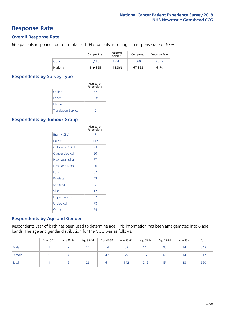### **Response Rate**

### **Overall Response Rate**

660 patients responded out of a total of 1,047 patients, resulting in a response rate of 63%.

|          | Sample Size | Adjusted<br>Sample | Completed | Response Rate |
|----------|-------------|--------------------|-----------|---------------|
| CCG      | 1.118       | 1.047              | 660       | 63%           |
| National | 119,855     | 111,366            | 67.858    | 61%           |

### **Respondents by Survey Type**

|                            | Number of<br>Respondents |
|----------------------------|--------------------------|
| Online                     | 52                       |
| Paper                      | 608                      |
| Phone                      | Ω                        |
| <b>Translation Service</b> |                          |

### **Respondents by Tumour Group**

|                      | Number of<br>Respondents |
|----------------------|--------------------------|
| Brain / CNS          | 7                        |
| <b>Breast</b>        | 117                      |
| Colorectal / LGT     | 93                       |
| Gynaecological       | 20                       |
| Haematological       | 77                       |
| <b>Head and Neck</b> | 26                       |
| Lung                 | 67                       |
| Prostate             | 53                       |
| Sarcoma              | 9                        |
| Skin                 | 12                       |
| <b>Upper Gastro</b>  | 37                       |
| Urological           | 78                       |
| Other                | 64                       |

### **Respondents by Age and Gender**

Respondents year of birth has been used to determine age. This information has been amalgamated into 8 age bands. The age and gender distribution for the CCG was as follows:

|        | Age 16-24 | Age 25-34 | Age 35-44 | Age 45-54 | Age 55-64 | Age 65-74 | Age 75-84   | Age 85+        | Total |
|--------|-----------|-----------|-----------|-----------|-----------|-----------|-------------|----------------|-------|
| Male   |           |           |           | 14        | 63        | 145       | 93          | $\overline{4}$ | 343   |
| Female |           |           | כ ו       | 47        | 79        | 97        | $6^{\circ}$ | $\overline{4}$ | 317   |
| Total  |           |           | 26        | 61        | 142       | 242       | 154         | 28             | 660   |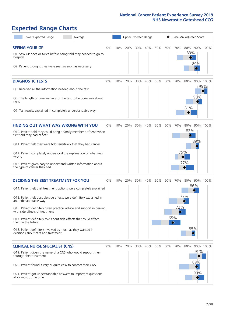# **Expected Range Charts**

| Lower Expected Range<br>Average                                                                                                                                                                                                                                                                                                                                                                                                                                                                                             |    |     | Upper Expected Range |     |     |     |          |                   | Case Mix Adjusted Score  |                   |                 |
|-----------------------------------------------------------------------------------------------------------------------------------------------------------------------------------------------------------------------------------------------------------------------------------------------------------------------------------------------------------------------------------------------------------------------------------------------------------------------------------------------------------------------------|----|-----|----------------------|-----|-----|-----|----------|-------------------|--------------------------|-------------------|-----------------|
| <b>SEEING YOUR GP</b><br>Q1. Saw GP once or twice before being told they needed to go to<br>hospital<br>Q2. Patient thought they were seen as soon as necessary                                                                                                                                                                                                                                                                                                                                                             | 0% | 10% | 20%                  | 30% | 40% | 50% | 60%      | 70%               | 80%<br>83%               | 89%<br>◈          | 90% 100%        |
| <b>DIAGNOSTIC TESTS</b><br>Q5. Received all the information needed about the test<br>Q6. The length of time waiting for the test to be done was about<br>right<br>Q7. Test results explained in completely understandable way                                                                                                                                                                                                                                                                                               | 0% | 10% | 20%                  | 30% | 40% | 50% | 60%      | 70%               | 80%<br>81%               | 90%               | 90% 100%<br>95% |
| <b>FINDING OUT WHAT WAS WRONG WITH YOU</b><br>Q10. Patient told they could bring a family member or friend when<br>first told they had cancer<br>Q11. Patient felt they were told sensitively that they had cancer<br>Q12. Patient completely understood the explanation of what was<br>wrong<br>Q13. Patient given easy to understand written information about<br>the type of cancer they had                                                                                                                             | 0% | 10% | 20%                  | 30% | 40% | 50% | 60%      | 70%               | 80%<br>82%<br>75%<br>77% | 89%               | 90% 100%        |
| <b>DECIDING THE BEST TREATMENT FOR YOU</b><br>Q14. Patient felt that treatment options were completely explained<br>Q15. Patient felt possible side effects were definitely explained in<br>an understandable way<br>Q16. Patient definitely given practical advice and support in dealing<br>with side effects of treatment<br>Q17. Patient definitely told about side effects that could affect<br>them in the future<br>Q18. Patient definitely involved as much as they wanted in<br>decisions about care and treatment | 0% | 10% | 20%                  | 30% | 40% | 50% | 60%<br>♦ | 70%<br>72%<br>65% | 80%<br>77%<br>85%        | 86%               | 90% 100%        |
| <b>CLINICAL NURSE SPECIALIST (CNS)</b><br>Q19. Patient given the name of a CNS who would support them<br>through their treatment<br>Q20. Patient found it very or quite easy to contact their CNS<br>Q21. Patient got understandable answers to important questions<br>all or most of the time                                                                                                                                                                                                                              | 0% | 10% | 20%                  | 30% | 40% | 50% | 60%      | 70%               | 80%                      | 91%<br>89%<br>90% | 90% 100%        |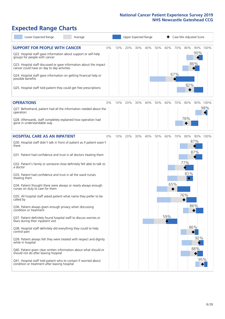# **Expected Range Charts**

| Lower Expected Range<br>Average                                                                                                                                                                                                                                                                                                                                                                                                                                                                                                                                                                                                                                                                                                                                                                                                                                                                         |     | Upper Expected Range |     |     |     |            |            | Case Mix Adjusted Score                           |                                 |          |
|---------------------------------------------------------------------------------------------------------------------------------------------------------------------------------------------------------------------------------------------------------------------------------------------------------------------------------------------------------------------------------------------------------------------------------------------------------------------------------------------------------------------------------------------------------------------------------------------------------------------------------------------------------------------------------------------------------------------------------------------------------------------------------------------------------------------------------------------------------------------------------------------------------|-----|----------------------|-----|-----|-----|------------|------------|---------------------------------------------------|---------------------------------|----------|
| <b>SUPPORT FOR PEOPLE WITH CANCER</b><br>0%<br>Q22. Hospital staff gave information about support or self-help<br>groups for people with cancer<br>Q23. Hospital staff discussed or gave information about the impact<br>cancer could have on day to day activities<br>Q24. Hospital staff gave information on getting financial help or<br>possible benefits<br>Q25. Hospital staff told patient they could get free prescriptions                                                                                                                                                                                                                                                                                                                                                                                                                                                                     | 10% | 20%                  | 30% | 40% | 50% | 60%        | 70%<br>67% | 80%<br>82%                                        | 90%<br>86%                      | 90% 100% |
| <b>OPERATIONS</b><br>0%                                                                                                                                                                                                                                                                                                                                                                                                                                                                                                                                                                                                                                                                                                                                                                                                                                                                                 | 10% | 20%                  | 30% | 40% | 50% | 60%        | 70%        | 80%                                               |                                 | 90% 100% |
| Q27. Beforehand, patient had all the information needed about the<br>operation<br>Q28. Afterwards, staff completely explained how operation had<br>gone in understandable way                                                                                                                                                                                                                                                                                                                                                                                                                                                                                                                                                                                                                                                                                                                           |     |                      |     |     |     |            |            | 78%                                               |                                 | 98%      |
| <b>HOSPITAL CARE AS AN INPATIENT</b><br>$0\%$                                                                                                                                                                                                                                                                                                                                                                                                                                                                                                                                                                                                                                                                                                                                                                                                                                                           | 10% | 20%                  | 30% | 40% | 50% | 60%        | 70%        | 80%                                               |                                 | 90% 100% |
| Q30. Hospital staff didn't talk in front of patient as if patient wasn't<br>there<br>Q31. Patient had confidence and trust in all doctors treating them<br>Q32. Patient's family or someone close definitely felt able to talk to<br>a doctor<br>Q33. Patient had confidence and trust in all the ward nurses<br>treating them<br>Q34. Patient thought there were always or nearly always enough<br>nurses on duty to care for them<br>Q35. All hospital staff asked patient what name they prefer to be<br>called by<br>Q36. Patient always given enough privacy when discussing<br>condition or treatment<br>Q37. Patient definitely found hospital staff to discuss worries or<br>fears during their inpatient visit<br>Q38. Hospital staff definitely did everything they could to help<br>control pain<br>Q39. Patient always felt they were treated with respect and dignity<br>while in hospital |     |                      |     |     |     | 65%<br>59% |            | 77%<br>81%<br>$\color{black}\blacklozenge$<br>76% | 87%<br>87%<br>86%<br>86%<br>92% |          |
| Q40. Patient given clear written information about what should or<br>should not do after leaving hospital<br>Q41. Hospital staff told patient who to contact if worried about<br>condition or treatment after leaving hospital                                                                                                                                                                                                                                                                                                                                                                                                                                                                                                                                                                                                                                                                          |     |                      |     |     |     |            |            |                                                   | 88%                             | 95%      |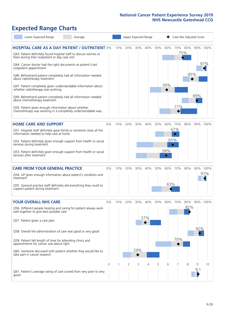# **Expected Range Charts**

| Lower Expected Range<br>Average                                                                                       |    |     |     |     | Upper Expected Range |     |          |          |         | Case Mix Adjusted Score |          |
|-----------------------------------------------------------------------------------------------------------------------|----|-----|-----|-----|----------------------|-----|----------|----------|---------|-------------------------|----------|
| <b>HOSPITAL CARE AS A DAY PATIENT / OUTPATIENT 0%</b>                                                                 |    | 10% | 20% | 30% | 40%                  | 50% | 60%      |          | 70% 80% |                         | 90% 100% |
| Q43. Patient definitely found hospital staff to discuss worries or<br>fears during their outpatient or day case visit |    |     |     |     |                      |     |          |          | 75%     |                         |          |
| Q44. Cancer doctor had the right documents at patient's last<br>outpatient appointment                                |    |     |     |     |                      |     |          |          |         |                         | 97%      |
| Q46. Beforehand patient completely had all information needed<br>about radiotherapy treatment                         |    |     |     |     |                      |     |          |          | 85%     |                         |          |
| Q47. Patient completely given understandable information about<br>whether radiotherapy was working                    |    |     |     |     |                      |     | 59%      |          |         |                         |          |
| Q49. Beforehand patient completely had all information needed<br>about chemotherapy treatment                         |    |     |     |     |                      |     |          |          |         | 89%                     |          |
| Q50. Patient given enough information about whether<br>chemotherapy was working in a completely understandable way    |    |     |     |     |                      |     |          | 71%      |         |                         |          |
| <b>HOME CARE AND SUPPORT</b>                                                                                          | 0% | 10% | 20% | 30% | 40%                  | 50% | 60%      | 70%      | 80%     |                         | 90% 100% |
| Q51. Hospital staff definitely gave family or someone close all the<br>information needed to help care at home        |    |     |     |     |                      |     |          | 67%      |         |                         |          |
| Q52. Patient definitely given enough support from health or social<br>services during treatment                       |    |     |     |     |                      |     |          | 65%<br>♦ |         |                         |          |
| Q53. Patient definitely given enough support from health or social<br>services after treatment                        |    |     |     |     |                      |     | 58%<br>◇ |          |         |                         |          |
| <b>CARE FROM YOUR GENERAL PRACTICE</b>                                                                                | 0% | 10% | 20% | 30% | 40%                  | 50% | 60%      | 70%      | 80%     |                         | 90% 100% |
| Q54. GP given enough information about patient's condition and<br>treatment                                           |    |     |     |     |                      |     |          |          |         |                         | 97%      |
| Q55. General practice staff definitely did everything they could to<br>support patient during treatment               |    |     |     |     |                      |     | 63%      |          |         |                         |          |
| <b>YOUR OVERALL NHS CARE</b>                                                                                          | 0% | 10% | 20% | 30% | 40%                  | 50% | 60%      | 70%      | 80%     |                         | 90% 100% |
| Q56. Different people treating and caring for patient always work<br>well together to give best possible care         |    |     |     |     |                      |     |          |          | 82%     |                         |          |
| Q57. Patient given a care plan                                                                                        |    |     |     |     | 37%                  |     |          |          |         |                         |          |
| Q58. Overall the administration of care was good or very good                                                         |    |     |     |     |                      |     |          |          |         | 92%                     |          |
| Q59. Patient felt length of time for attending clinics and<br>appointments for cancer was about right                 |    |     |     |     |                      |     |          | 70%      |         |                         |          |
| Q60. Someone discussed with patient whether they would like to<br>take part in cancer research                        |    |     |     | 29% |                      |     |          |          |         |                         |          |
|                                                                                                                       | 0  |     | 2   | 3   | 4                    | 5   | 6        | 7        | 8       | 9                       | 10       |
| Q61. Patient's average rating of care scored from very poor to very<br>good                                           |    |     |     |     |                      |     |          |          |         | 9.1                     |          |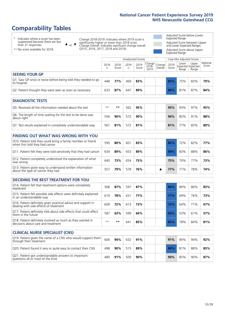# **Comparability Tables**

\* Indicates where a score has been suppressed because there are less than 21 responses.

\*\* No score available for 2018.

 $\triangle$  or  $\nabla$ 

Change 2018-2019: Indicates where 2019 score is significantly higher or lower than 2018 score Change Overall: Indicates significant change overall (2015, 2016, 2017, 2018 and 2019).

Adjusted Score below Lower Expected Range Adjusted Score between Upper and Lower Expected Ranges Adjusted Score above Upper Expected Range

|                                                                             | Case Mix Adjusted Scores<br>Unadjusted Scores |               |           |               |                                                   |         |               |                                            |                |                   |
|-----------------------------------------------------------------------------|-----------------------------------------------|---------------|-----------|---------------|---------------------------------------------------|---------|---------------|--------------------------------------------|----------------|-------------------|
|                                                                             | 2018<br>n                                     | 2018<br>Score | 2019<br>n | 2019<br>Score | $\sim$  Change   Change   $\sim$<br>2018-<br>2019 | Overall | 2019<br>Score | Lower<br><b>Expected Expected</b><br>Range | Upper<br>Range | National<br>Score |
| <b>SEEING YOUR GP</b>                                                       |                                               |               |           |               |                                                   |         |               |                                            |                |                   |
| Q1. Saw GP once or twice before being told they needed to go<br>to hospital | 448                                           | 77%           | 469       | 83%           |                                                   |         | 83%           | 75%                                        | 83%            | 79%               |
| Q2. Patient thought they were seen as soon as necessary                     | 633                                           | 87%           | 647       | 89%           |                                                   |         | 89%           | 81%                                        | 87%            | 84%               |

| <b>DIAGNOSTIC TESTS</b>                                                   |      |     |     |     |  |  |     |     |     |     |  |  |  |
|---------------------------------------------------------------------------|------|-----|-----|-----|--|--|-----|-----|-----|-----|--|--|--|
| Q5. Received all the information needed about the test                    | $**$ | **  | 562 | 95% |  |  | 95% | 93% | 97% | 95% |  |  |  |
| Q6. The length of time waiting for the test to be done was<br>about right | 556  | 90% | 572 | 90% |  |  | 90% | 85% | 91% | 88% |  |  |  |
| Q7. Test results explained in completely understandable way               | 561  | 81% | 572 | 81% |  |  | 81% | 77% | 83% | 80% |  |  |  |

| <b>FINDING OUT WHAT WAS WRONG WITH YOU</b>                                                      |     |     |     |     |  |     |                 |     |     |
|-------------------------------------------------------------------------------------------------|-----|-----|-----|-----|--|-----|-----------------|-----|-----|
| Q10. Patient told they could bring a family member or friend<br>when first told they had cancer | 595 | 80% | 601 | 83% |  | 82% | 72%             | 82% | 77% |
| Q11. Patient felt they were told sensitively that they had cancer                               | 634 | 89% | 653 | 89% |  | 89% | 83%             | 88% | 86% |
| Q12. Patient completely understood the explanation of what<br>was wrong                         | 640 | 73% | 654 | 75% |  | 75% | 70%             | 77% | 73% |
| Q13. Patient given easy to understand written information<br>about the type of cancer they had  | 557 | 79% | 578 | 76% |  | 77% | 71 <sub>%</sub> | 78% | 74% |

| <b>DECIDING THE BEST TREATMENT FOR YOU</b>                                                              |      |     |     |     |     |     |     |     |
|---------------------------------------------------------------------------------------------------------|------|-----|-----|-----|-----|-----|-----|-----|
| Q14. Patient felt that treatment options were completely<br>explained                                   | 568  | 87% | 597 | 87% | 86% | 80% | 86% | 83% |
| Q15. Patient felt possible side effects were definitely explained<br>in an understandable way           | 619  | 78% | 631 | 77% | 77% | 69% | 76% | 73% |
| Q16. Patient definitely given practical advice and support in<br>dealing with side effects of treatment | 609  | 72% | 613 | 73% | 72% | 64% | 71% | 67% |
| Q17. Patient definitely told about side effects that could affect<br>them in the future                 | 587  | 63% | 599 | 66% | 65% | 53% | 61% | 57% |
| Q18. Patient definitely involved as much as they wanted in<br>decisions about care and treatment        | $**$ | **  | 64  | 85% | 85% | 78% | 84% | 81% |

| <b>CLINICAL NURSE SPECIALIST (CNS)</b>                                                    |     |     |     |     |                 |     |     |     |
|-------------------------------------------------------------------------------------------|-----|-----|-----|-----|-----------------|-----|-----|-----|
| Q19. Patient given the name of a CNS who would support them<br>through their treatment    | 606 | 94% | 632 | 91% | 91%             | 90% | 94% | 92% |
| Q20. Patient found it very or quite easy to contact their CNS                             | 498 | 90% | 515 | 89% | 89 <sup>%</sup> | 81% | 88% | 85% |
| Q21. Patient got understandable answers to important<br>questions all or most of the time | 480 | 91% | 500 | 90% | 90%             | 85% | 90% | 87% |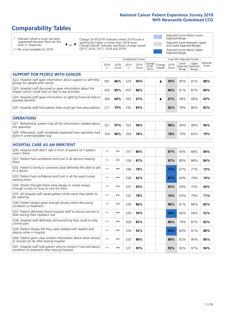# **Comparability Tables**

\* Indicates where a score has been suppressed because there are less than 21 responses.

\*\* No score available for 2018.

 $\triangle$  or  $\nabla$ 

Change 2018-2019: Indicates where 2019 score is significantly higher or lower than 2018 score Change Overall: Indicates significant change overall (2015, 2016, 2017, 2018 and 2019).

Adjusted Score below Lower Expected Range Adjusted Score between Upper and Lower Expected Ranges Adjusted Score above Upper Expected Range

|                                                                                                                   |              |               |            | <b>Unadjusted Scores</b> |                         |                   |               | Case Mix Adjusted Scores            |                |                   |
|-------------------------------------------------------------------------------------------------------------------|--------------|---------------|------------|--------------------------|-------------------------|-------------------|---------------|-------------------------------------|----------------|-------------------|
|                                                                                                                   | 2018<br>n    | 2018<br>Score | 2019<br>n. | 2019<br>Score            | Change<br>2018-<br>2019 | Change<br>Overall | 2019<br>Score | Lower<br>Expected Expected<br>Range | Upper<br>Range | National<br>Score |
| <b>SUPPORT FOR PEOPLE WITH CANCER</b>                                                                             |              |               |            |                          |                         |                   |               |                                     |                |                   |
| Q22. Hospital staff gave information about support or self-help<br>groups for people with cancer                  | 491          | 86%           | 524        | 90%                      |                         | ▲                 | 90%           | 85%                                 | 91%            | 88%               |
| Q23. Hospital staff discussed or gave information about the<br>impact cancer could have on day to day activities  | 430          | 85%           | 455        | 86%                      |                         |                   | 86%           | 81%                                 | 87%            | 84%               |
| Q24. Hospital staff gave information on getting financial help or<br>possible benefits                            | 366          | 60%           | 393        | 67%                      |                         | ▲                 | 67%           | 58%                                 | 68%            | 63%               |
| Q25. Hospital staff told patient they could get free prescriptions                                                | 271          | 79%           | 292        | 83%                      |                         |                   | 82%           | 78%                                 | 86%            | 82%               |
| <b>OPERATIONS</b>                                                                                                 |              |               |            |                          |                         |                   |               |                                     |                |                   |
| Q27. Beforehand, patient had all the information needed about<br>the operation                                    | 351          | 97%           | 353        | 98%                      |                         |                   | 98%           | 94%                                 | 98%            | 96%               |
| Q28. Afterwards, staff completely explained how operation had<br>gone in understandable way                       | 354          | 80%           | 354        | 78%                      |                         |                   | 78%           | 75%                                 | 83%            | 79%               |
| <b>HOSPITAL CARE AS AN INPATIENT</b>                                                                              |              |               |            |                          |                         |                   |               |                                     |                |                   |
| Q30. Hospital staff didn't talk in front of patient as if patient<br>wasn't there                                 | $* *$        | **            | 337        | 86%                      |                         |                   | 87%           | 80%                                 | 88%            | 84%               |
| Q31. Patient had confidence and trust in all doctors treating<br>them                                             | $* *$        | **            | 338        | 87%                      |                         |                   | 87%           | 80%                                 | 88%            | 84%               |
| Q32. Patient's family or someone close definitely felt able to talk<br>to a doctor                                | $* *$        | **            | 298        | 78%                      |                         |                   | 77%           | 67%                                 | 77%            | 72%               |
| Q33. Patient had confidence and trust in all the ward nurses<br>treating them                                     | $\star\star$ | **            | 338        | 82%                      |                         |                   | 81%           | 69%                                 | 79%            | 74%               |
| Q34. Patient thought there were always or nearly always<br>enough nurses on duty to care for them                 | $* *$        | $***$         | 337        | 65%                      |                         |                   | 65%           | 59%                                 | 70%            | 64%               |
| Q35. All hospital staff asked patient what name they prefer to<br>be called by                                    | $**$         | **            | 332        | 78%                      |                         |                   | 76%           | 63%                                 | 79%            | 71%               |
| Q36. Patient always given enough privacy when discussing<br>condition or treatment                                | $* *$        | $***$         | 339        | 86%                      |                         |                   | 86%           | 81%                                 | 88%            | 85%               |
| Q37. Patient definitely found hospital staff to discuss worries or<br>fears during their inpatient visit          | $**$         | **            | 259        | 59%                      |                         |                   | 59%           | 46%                                 | 58%            | 52%               |
| Q38. Hospital staff definitely did everything they could to help<br>control pain                                  | $* *$        | **            | 309        | 85%                      |                         |                   | 86%           | 79%                                 | 87%            | 83%               |
| Q39. Patient always felt they were treated with respect and<br>dignity while in hospital                          | $\star\star$ | **            | 339        | 92%                      |                         |                   | 92%           | 84%                                 | 91%            | 88%               |
| Q40. Patient given clear written information about what should<br>or should not do after leaving hospital         | $**$         | $***$         | 320        | 88%                      |                         |                   | 88%           | 82%                                 | 90%            | 86%               |
| Q41. Hospital staff told patient who to contact if worried about<br>condition or treatment after leaving hospital | $* *$        | **            | 327        | 95%                      |                         |                   | 95%           | 92%                                 | 97%            | 94%               |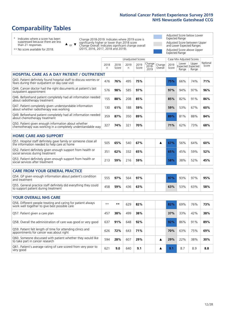# **Comparability Tables**

\* Indicates where a score has been suppressed because there are less than 21 responses.

\*\* No score available for 2018.

 $\triangle$  or  $\nabla$ 

Change 2018-2019: Indicates where 2019 score is significantly higher or lower than 2018 score Change Overall: Indicates significant change overall (2015, 2016, 2017, 2018 and 2019).

Adjusted Score below Lower Expected Range Adjusted Score between Upper and Lower Expected Ranges Adjusted Score above Upper Expected Range

|                                                                                                                       |           |               | <b>Unadjusted Scores</b> |               |                         |                   |               | Case Mix Adjusted Scores |                                     |                   |
|-----------------------------------------------------------------------------------------------------------------------|-----------|---------------|--------------------------|---------------|-------------------------|-------------------|---------------|--------------------------|-------------------------------------|-------------------|
|                                                                                                                       | 2018<br>n | 2018<br>Score | 2019<br>$\mathsf{n}$     | 2019<br>Score | Change<br>2018-<br>2019 | Change<br>Overall | 2019<br>Score | Lower<br>Range           | Upper<br>Expected Expected<br>Range | National<br>Score |
| <b>HOSPITAL CARE AS A DAY PATIENT / OUTPATIENT</b>                                                                    |           |               |                          |               |                         |                   |               |                          |                                     |                   |
| Q43. Patient definitely found hospital staff to discuss worries or<br>fears during their outpatient or day case visit | 476       | 76%           | 495                      | 75%           |                         |                   | 75%           | 66%                      | 74%                                 | 71%               |
| Q44. Cancer doctor had the right documents at patient's last<br>outpatient appointment                                | 576       | 98%           | 585                      | 97%           |                         |                   | 97%           | 94%                      | 97%                                 | 96%               |
| Q46. Beforehand patient completely had all information needed<br>about radiotherapy treatment                         | 155       | 88%           | 208                      | 85%           |                         |                   | 85%           | 82%                      | 91%                                 | 86%               |
| Q47. Patient completely given understandable information<br>about whether radiotherapy was working                    | 130       | 61%           | 188                      | 59%           |                         |                   | 59%           | 53%                      | 67%                                 | 60%               |
| Q49. Beforehand patient completely had all information needed<br>about chemotherapy treatment                         | 359       | 87%           | 350                      | 89%           |                         |                   | 89%           | 81%                      | 88%                                 | 84%               |
| Q50. Patient given enough information about whether<br>chemotherapy was working in a completely understandable way    | 327       | 74%           | 321                      | 70%           |                         |                   | 71%           | 62%                      | 73%                                 | 68%               |
| <b>HOME CARE AND SUPPORT</b>                                                                                          |           |               |                          |               |                         |                   |               |                          |                                     |                   |
| Q51. Hospital staff definitely gave family or someone close all<br>the information needed to help care at home        | 505       | 65%           | 540                      | 67%           |                         | ▲                 | 67%           | 56%                      | 64%                                 | 60%               |
| Q52. Patient definitely given enough support from health or<br>social services during treatment                       | 351       | 62%           | 332                      | 65%           |                         |                   | 65%           | 45%                      | 59%                                 | 52%               |
| Q53. Patient definitely given enough support from health or<br>social services after treatment                        | 213       | 59%           | 216                      | 59%           |                         |                   | 58%           | 38%                      | 52%                                 | 45%               |
| <b>CARE FROM YOUR GENERAL PRACTICE</b>                                                                                |           |               |                          |               |                         |                   |               |                          |                                     |                   |
| Q54. GP given enough information about patient's condition<br>and treatment                                           | 555       | 97%           | 564                      | 97%           |                         |                   | 97%           | 93%                      | 97%                                 | 95%               |
| Q55. General practice staff definitely did everything they could<br>to support patient during treatment               | 458       | 59%           | 436                      | 63%           |                         |                   | 63%           | 53%                      | 63%                                 | 58%               |
|                                                                                                                       |           |               |                          |               |                         |                   |               |                          |                                     |                   |
| <b>YOUR OVERALL NHS CARE</b>                                                                                          |           |               |                          |               |                         |                   |               |                          |                                     |                   |
| Q56. Different people treating and caring for patient always<br>work well together to give best possible care         | $* *$     | **            | 629                      | 82%           |                         |                   | 82%           | 69%                      | 76%                                 | 73%               |
| Q57. Patient given a care plan                                                                                        | 457       | 38%           | 499                      | 38%           |                         |                   | 37%           | 33%                      | 42%                                 | 38%               |
| Q58. Overall the administration of care was good or very good                                                         | 637       | 91%           | 648                      | 92%           |                         |                   | 92%           | 86%                      | 91%                                 | 89%               |
| Q59. Patient felt length of time for attending clinics and<br>appointments for cancer was about right                 | 626       | 72%           | 643                      | 71%           |                         |                   | 70%           | 63%                      | 75%                                 | 69%               |
| Q60. Someone discussed with patient whether they would like<br>to take part in cancer research                        | 594       | 28%           | 607                      | 29%           |                         | ▲                 | 29%           | 22%                      | 38%                                 | 30%               |
| Q61. Patient's average rating of care scored from very poor to<br>very good                                           | 621       | 9.0           | 640                      | 9.1           |                         | ▲                 | 9.1           | 8.7                      | 8.9                                 | 8.8               |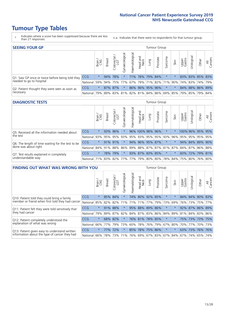- \* Indicates where a score has been suppressed because there are less than 21 responses.
- n.a. Indicates that there were no respondents for that tumour group.

| <b>SEEING YOUR GP</b>                           |              |               |               |                                     |                   |                |                  |      | <b>Tumour Group</b> |         |      |                 |                                                 |       |                |
|-------------------------------------------------|--------------|---------------|---------------|-------------------------------------|-------------------|----------------|------------------|------|---------------------|---------|------|-----------------|-------------------------------------------------|-------|----------------|
|                                                 |              | Brain.<br>CNS | <b>Breast</b> | Colorectal<br>LGT                   | ত<br>Gynaecologic | Haematological | Head and<br>Neck | Lung | Prostate            | Sarcoma | Skin | Upper<br>Gastro | $\sigma$<br>Jrologica                           | Other | All<br>Cancers |
| Q1. Saw GP once or twice before being told they | <b>CCG</b>   | $\star$       |               | 94% 78%                             |                   |                | 71% 78% 79% 84%  |      |                     | $\star$ |      |                 | 83% 83% 85% 83%                                 |       |                |
| needed to go to hospital                        | National 59% |               |               | 94% 75% 77% 67% 79% 71% 82% 71% 90% |                   |                |                  |      |                     |         |      |                 | 74%   83%   74%   79%                           |       |                |
| Q2. Patient thought they were seen as soon as   | <b>CCG</b>   | $\star$       |               | 87% 87%                             | $\star$           |                | 86% 96% 95% 96%  |      |                     | $\star$ |      |                 | 84% 88% 86% 89%                                 |       |                |
| necessary                                       | National I   | 79%           |               |                                     |                   |                |                  |      |                     |         |      |                 | 89% 83% 81% 82% 81% 84% 86% 69% 85% 79% 85% 79% |       | 84%            |

#### **DIAGNOSTIC TESTS** Tumour Group

|                                                   |                                                                  | Brain   | <b>Breast</b> | Colorectal | ᅙ<br>Gynaecologic | Haematological | Head and<br>Neck | Lung | Prostate | Sarcoma                 | Skin | Upper<br>Gastro | rological                                               | Other | All<br>Cancers |
|---------------------------------------------------|------------------------------------------------------------------|---------|---------------|------------|-------------------|----------------|------------------|------|----------|-------------------------|------|-----------------|---------------------------------------------------------|-------|----------------|
| O5. Received all the information needed about     | <b>CCG</b>                                                       | $\star$ |               | 93% 96%    |                   |                | 96% 100% 98% 96% |      |          | $\ast$                  |      |                 | 100% 96% 95% 95%                                        |       |                |
| the test                                          | National                                                         | 93%     |               | 95% 95%    |                   |                |                  |      |          | 93% 95% 93% 95% 95% 93% | 96%  |                 | 95% 95% 95% 95%                                         |       |                |
| Q6. The length of time waiting for the test to be | <b>CCG</b>                                                       | $\star$ |               | 91% 91%    | $\star$           |                | 94% 96% 95% 87%  |      |          |                         |      |                 | 94% 84% 89% 90%                                         |       |                |
| done was about right                              | <b>National</b>                                                  |         |               |            |                   |                |                  |      |          |                         |      |                 | 84% 91% 88% 86% 89% 88% 87% 87% 81% 87% 84% 87% 86% 88% |       |                |
| Q7. Test results explained in completely          | <b>CCG</b>                                                       | $\star$ |               | 78% 79%    | $\star$           |                | 93% 87% 83% 85%  |      |          | $\star$                 |      |                 | 83% 72% 79% 81%                                         |       |                |
| understandable way                                | National 71% 83% 82% 77% 77% 79% 80% 80% 78% 84% 75% 80% 76% 80% |         |               |            |                   |                |                  |      |          |                         |      |                 |                                                         |       |                |

| <b>FINDING OUT WHAT WAS WRONG WITH YOU</b>        |          |         |               |                       |                |                   |                  |                 | <b>Tumour Group</b> |         |         |                 |            |             |                |
|---------------------------------------------------|----------|---------|---------------|-----------------------|----------------|-------------------|------------------|-----------------|---------------------|---------|---------|-----------------|------------|-------------|----------------|
|                                                   |          | Brain   | <b>Breast</b> | olorectal<br>LGT<br>Û | Gynaecological | aematologica<br>ェ | Head and<br>Neck | Lung            | Prostate            | Sarcoma | Skin    | Upper<br>Gastro | Urological | Other       | All<br>Cancers |
| Q10. Patient told they could bring a family       | CCG      | $\star$ | 85% 84%       |                       | $\star$        | 74%               | 80%              | 92% 85%         |                     | $\ast$  | $\ast$  |                 | 84% 84%    | 80%         | 83%            |
| member or friend when first told they had cancer  | National | 85%     | 82%           | 82%                   | 71%            | 71%               | 71%              | 77%             | 79%                 | 73%     | 69%     | 76%             | 73%        | 75%         | 77%            |
| Q11. Patient felt they were told sensitively that | CCG      | $\star$ | 91% 88%       |                       |                |                   |                  | 95% 88% 89% 86% |                     | $\ast$  | $\star$ | 92%             | 87%        | 86% 89%     |                |
| they had cancer                                   | National | 79%     |               | 89% 87% 82%           |                |                   |                  | 84% 87% 83% 86% |                     | 84%     | 89%     |                 |            | 81% 84% 83% | 86%            |
| Q12. Patient completely understood the            | CCG      | $\star$ |               | 68% 82%               |                |                   |                  | 76% 81% 78% 85% |                     | $\ast$  | $\star$ | 75%             |            | 73% 73% 75% |                |
| explanation of what was wrong                     | National | 66%     | 77%           | 79%                   | 73%            |                   |                  | 60% 78% 76%     | 79%                 | 67%     | 80%     | 70%             | 77%        | 70%         | 73%            |
| Q13. Patient given easy to understand written     | CCG      | $\star$ | 77%           | 72%                   |                |                   |                  | 85% 78% 75% 86% |                     | $\star$ | $\star$ | 63%             | 73%        | 76%         | 76%            |
| information about the type of cancer they had     | National | $66\%$  | 78%           | 73%                   | 71%            | 76%               |                  | 69%   67%   83% |                     |         | 67% 84% | 67%             | 74%        | 65%         | 74%            |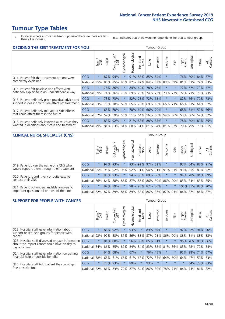\* Indicates where a score has been suppressed because there are less than 21 responses.

n.a. Indicates that there were no respondents for that tumour group.

| <b>DECIDING THE BEST TREATMENT FOR YOU</b>         |            |         |               |                            |                |                |                        |                     | <b>Tumour Group</b> |                                     |         |                 |            |                 |                |
|----------------------------------------------------|------------|---------|---------------|----------------------------|----------------|----------------|------------------------|---------------------|---------------------|-------------------------------------|---------|-----------------|------------|-----------------|----------------|
|                                                    |            | Brain   | <b>Breast</b> | olorectal<br>LGT<br>$\cup$ | Gynaecological | Haematological | ad and<br>Neck<br>Head | Lung                | Prostate            | Sarcoma                             | Skin    | Upper<br>Gastro | Jrological | Other           | All<br>Cancers |
| Q14. Patient felt that treatment options were      | <b>CCG</b> | $\star$ | 87%           | 94%                        | $\star$        |                |                        | 91% 88% 85% 84%     |                     | $\star$                             |         |                 |            | 76% 80% 84% 87% |                |
| completely explained                               | National   | 85%     | 85%           | 85%                        | 85%            |                |                        | 82% 87% 84% 83% 83% |                     |                                     | 89%     | 81%             |            | 83% 79% 83%     |                |
| Q15. Patient felt possible side effects were       | <b>CCG</b> | $\star$ | 78%           | 86%                        | $\star$        |                | 84% 69%                |                     | 78% 76%             | $^\star$                            |         |                 |            | 72% 67% 73% 77% |                |
| definitely explained in an understandable way      | National   | 69%     | 74%           | 76%                        | 75%            | 69%            | 73%                    |                     | 74% 73%             | 73%                                 | 77%     | 72%             | 71%        | 70% 73%         |                |
| Q16. Patient definitely given practical advice and | CCG        | $\star$ |               | 73% 73%                    | $\star$        |                |                        | 82% 73% 72% 63%     |                     | $\ast$                              | $\star$ | 82%             |            | 66% 70% 73%     |                |
| support in dealing with side effects of treatment  | National   | 63%     | 70%           | 70%                        | 69%            |                | 65% 70%                |                     | 69% 65%             | 66%                                 | 71%     |                 |            | 66% 63% 64% 67% |                |
| Q17. Patient definitely told about side effects    | CCG        | $\star$ | 63%           | 70%                        | $\star$        |                |                        | 70% 60% 66% 70%     |                     | $\ast$                              | $\star$ |                 |            | 68% 61% 59% 66% |                |
| that could affect them in the future               | National   | 62%     | 57%           | 59%                        | 56%            | 51%            |                        | 64% 56% 66%         |                     | 54%                                 | 66%     | 53%             |            | 56% 52%         | 57%            |
| Q18. Patient definitely involved as much as they   | <b>CCG</b> | $\star$ | 83% 92%       |                            | $\star$        |                |                        | 81% 88% 88% 85%     |                     | $\star$                             | $\star$ |                 |            | 78% 80% 89% 85% |                |
| wanted in decisions about care and treatment       | National   | 79%     |               |                            |                |                |                        |                     |                     | 81% 83% 81% 80% 81% 81% 84% 81% 87% |         | 79%             |            | 79% 78% 81%     |                |

#### **CLINICAL NURSE SPECIALIST (CNS)** Tumour Group

|                                             |          | Brain   | <b>Breast</b> | olorectal.<br>LGT<br>$\cup$ | aecological<br>Ğ | ᠊ᢛ<br>Ü<br>aematologi | Head and<br>Neck        | Lung | Prostate | Sarcoma | Skin    | Upper<br>Gastro     | ᅙ<br>rologica | Other            | All<br>Cancers                                          |
|---------------------------------------------|----------|---------|---------------|-----------------------------|------------------|-----------------------|-------------------------|------|----------|---------|---------|---------------------|---------------|------------------|---------------------------------------------------------|
| Q19. Patient given the name of a CNS who    | CCG      | $\star$ |               | 97% 93%                     |                  |                       | 93% 92% 97% 82%         |      |          | $\star$ |         |                     |               |                  | 97% 84% 87% 91%                                         |
| would support them through their treatment  | National | 95%     | 95% 92%       |                             | 95%              |                       | 92% 91% 94% 91% 91% 91% |      |          |         |         | 93%                 |               | 85% 89%          | 92%                                                     |
| Q20. Patient found it very or quite easy to | CCG      | $\star$ |               | $90\%$ 93%                  |                  |                       | 94% 86% 89% 86%         |      |          | $\star$ | $\star$ | 94%                 |               | 78% 91% 89%      |                                                         |
| contact their CNS                           | National |         |               |                             | 86% 84% 88% 85%  |                       | 87%   86%   86%   80%   |      |          |         |         | 86% 90% 85% 83% 83% |               |                  | 85%                                                     |
| Q21. Patient got understandable answers to  | CCG      | $\star$ |               | 87% 89%                     |                  |                       | 98% 95% 87% 86%         |      |          | $\star$ | $\star$ |                     |               | 100% 85% 88% 90% |                                                         |
| important questions all or most of the time | National |         |               |                             |                  |                       |                         |      |          |         |         |                     |               |                  | 82% 87% 89% 86% 89% 88% 86% 87% 87% 93% 86% 87% 86% 87% |

| <b>SUPPORT FOR PEOPLE WITH CANCER</b>                                                             |            |         |               |                        |                |                |                        |         | Tumour Group |          |         |                 |           |             |                |
|---------------------------------------------------------------------------------------------------|------------|---------|---------------|------------------------|----------------|----------------|------------------------|---------|--------------|----------|---------|-----------------|-----------|-------------|----------------|
|                                                                                                   |            | Brain   | <b>Breast</b> | olorectal.<br>LGT<br>Ũ | Gynaecological | Haematological | ad and<br>Neck<br>Head | Lung    | Prostate     | Sarcoma  | Skin    | Upper<br>Gastro | Jrologica | Other       | All<br>Cancers |
| Q22. Hospital staff gave information about<br>support or self-help groups for people with         | <b>CCG</b> | $\star$ | 88%           | 92%                    | $\star$        | 93%            | $\ast$                 | 89%     | 89%          | $^\star$ |         | 97%             | 82%       | 94%         | 90%            |
| cancer                                                                                            | National   | 92%     | 92%           | 88%                    | 87%            |                | 86% 88%                | 87% 91% |              | 86%      | 90%     | 88%             | 81%       | 83%         | 88%            |
| Q23. Hospital staff discussed or gave information<br>about the impact cancer could have on day to | CCG        | $\star$ | 81%           | 88%                    | $\star$        |                | 96% 90% 85% 81%        |         |              | $\star$  | $\star$ | 96%             |           | 76% 85% 86% |                |
| day activities                                                                                    | National   | 84%     | 86%           | 85%                    | 82%            | 84%            | 84%                    |         | 83% 88%      | 81%      | 86%     | 83%             |           | 78% 79%     | 84%            |
| Q24. Hospital staff gave information on getting                                                   | CCG        | $\star$ |               | 64% 68%                | $\star$        | 67%            | $\star$                |         | 76% 45%      | $\ast$   | $\star$ |                 |           | 92% 28% 74% | 67%            |
| financial help or possible benefits                                                               | National   | 78%     |               | 68% 61%                | 66%            |                | 61% 67%                |         | 72% 55%      | 64%      | 60%     | 64%             | 47%       | 59%         | 63%            |
| Q25. Hospital staff told patient they could get                                                   | <b>CCG</b> | $\star$ |               | 75% 93%                | $\star$        | 89%            | $\ast$                 | 93%     | $\star$      | $\star$  | $\star$ | $\star$         |           | 64% 78%     | 83%            |
| free prescriptions                                                                                | National   | 82%     | 81% 83%       |                        | 79%            |                | 87% 84% 86% 80%        |         |              |          | 78% 71% | 84%             |           | 73% 81% 82% |                |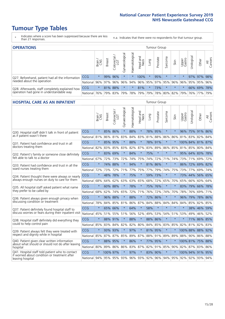- \* Indicates where a score has been suppressed because there are less than 21 responses.
- n.a. Indicates that there were no respondents for that tumour group.

| <b>OPERATIONS</b>                                |            |              |               |                   |                    |                |                         |             | Tumour Group |         |             |                 |            |             |                |
|--------------------------------------------------|------------|--------------|---------------|-------------------|--------------------|----------------|-------------------------|-------------|--------------|---------|-------------|-----------------|------------|-------------|----------------|
|                                                  |            | Brain<br>CNS | <b>Breast</b> | Colorectal<br>LGT | ᠊ᢛ<br>Gynaecologic | Haematological | Head and<br>Neck        | <b>Dung</b> | Prostate     | Sarcoma | Skin        | Upper<br>Gastro | Irological | Other       | All<br>Cancers |
| Q27. Beforehand, patient had all the information | CCG        | $\star$      |               | 99% 96%           | $\star$            |                | 100%                    | $\star$     | 95%          | $\star$ | $\star$     | $\star$         |            | 97% 97% 98% |                |
| needed about the operation                       | National   | 96%          | 97%           | 96%               | 96%                |                | 94% 96% 95% 97% 95% 96% |             |              |         |             | 96%             |            | 95% 95% 96% |                |
| Q28. Afterwards, staff completely explained how  | <b>CCG</b> | $\star$      |               | 81% 88%           | $\star$            | $\star$        | 81%                     | $^\star$    | 73%          |         | $\star$     | $\star$         |            | 66% 69%     | 78%            |
| operation had gone in understandable way         | National   | 76%          |               | 79% 83%           | 79%                |                | 78% 79%                 | 79%         |              |         | 78% 80% 82% | 79%             |            | 76% 77%     | 79%            |

#### **HOSPITAL CARE AS AN INPATIENT** Tumour Group

|                                                                                                   |                                                                  | Brain   | Breast   | $\overline{\phantom{0}}$<br>Colorectal /<br>LGT | Gynaecological | Haematological | Head and<br>Neck | Lung            | Prostate | Sarcoma | Skin    | Upper<br>Gastro | Urological   | Other            | All<br>Cancers |
|---------------------------------------------------------------------------------------------------|------------------------------------------------------------------|---------|----------|-------------------------------------------------|----------------|----------------|------------------|-----------------|----------|---------|---------|-----------------|--------------|------------------|----------------|
| Q30. Hospital staff didn't talk in front of patient<br>as if patient wasn't there                 | CCG                                                              | $\star$ | 85%      | 86%                                             | $\star$        | 88%            | $\star$          | 78%             | 95%      | $\star$ | $\star$ | 96%             |              | 75% 91% 86%      |                |
|                                                                                                   | National                                                         | 81%     | 86%      | 81%                                             | 83%            | 84%            | 83%              | 81%             | 88%      | 86%     | 86%     | 81%             | 83%          | 82%              | 84%            |
| Q31. Patient had confidence and trust in all<br>doctors treating them                             | CCG                                                              | $\star$ | 85% 95%  |                                                 | $\star$        | 88%            | $\star$          |                 | 78% 91%  | $\star$ | $\star$ |                 |              | 100% 84% 81% 87% |                |
|                                                                                                   | National                                                         | 82%     |          | 83% 85%                                         | 83%            |                |                  | 82% 87% 83% 89% |          | 86%     | 85%     |                 |              | 81% 85% 80% 84%  |                |
| Q32. Patient's family or someone close definitely<br>felt able to talk to a doctor                | CCG                                                              | $\star$ | 83%      | 69%                                             | $\star$        | 84%            | $\star$          | 75%             | $\star$  | $\star$ | $\star$ |                 |              | 95% 64% 83% 78%  |                |
|                                                                                                   | National                                                         | 67%     | 72%      | 73%                                             | 72%            | 74%            | 75%              | 74%             | 72%      | 71%     | 74%     |                 | 73% 71%      | 69%              | 72%            |
| Q33. Patient had confidence and trust in all the<br>ward nurses treating them                     | CCG                                                              | $\star$ | 74%      | 88%                                             | $\star$        | 94%            | $\star$          |                 | 81% 86%  | $\star$ | $\star$ |                 |              | 86% 72% 69% 82%  |                |
|                                                                                                   | National                                                         | 72%     | 73%      | 72%                                             | 71%            |                |                  | 77% 75% 77%     | 79%      | 74%     | 75%     |                 | 73% 77%      | 69% 74%          |                |
| Q34. Patient thought there were always or nearly<br>always enough nurses on duty to care for them | CCG                                                              | $\star$ | 48%      | 78%                                             | $\star$        | 75%            | $\star$          | 59%             | 73%      | $\star$ | $\star$ | 73%             | 44%          | 56% 65%          |                |
|                                                                                                   | National                                                         | 68%     | 64%      | 62%                                             | 63%            | 63%            | 65%              | 68%             | 72%      | 65%     | 70%     | 65%             | 66%          | 60% 64%          |                |
| Q35. All hospital staff asked patient what name                                                   | CCG                                                              | $\star$ | 60% 88%  |                                                 | $\star$        | 78%            | $\star$          |                 | 75% 76%  | $\star$ | $\star$ |                 |              | 83% 79% 66% 78%  |                |
| they prefer to be called by                                                                       | National                                                         | 68%     | 62%      | 74%                                             | 65%            | 72%            | 71%              | 76%             | 72%      | 74%     | 70%     | 78%             | 76%          | 69% 71%          |                |
| Q36. Patient always given enough privacy when                                                     | CCG                                                              | $\star$ | 96% 88%  |                                                 | $\star$        | 88%            | $\star$          | 72%             | 86%      | $\star$ | $\star$ | 96%             | 79%          | 78% 86%          |                |
| discussing condition or treatment                                                                 | National                                                         | 78%     | 84%      | 85%                                             | 81%            | 86% 87%        |                  | 84%             | 88%      | 84%     | 84%     | 84%             | 85%          | 82% 85%          |                |
| Q37. Patient definitely found hospital staff to                                                   | <b>CCG</b>                                                       | $\star$ | 65%      | 66%                                             | $\star$        | 64%            | $\star$          | 58%             | $\star$  | $\star$ | $\star$ | $\star$         |              | 38% 46%          | 59%            |
| discuss worries or fears during their inpatient visit                                             | National                                                         | 45%     |          | 51% 55%                                         | 51%            |                | 56% 52%          | 49%             | 53%      | 54%     |         | 51% 53%         | 49%          | 46% 52%          |                |
| Q38. Hospital staff definitely did everything they                                                | CCG                                                              | $\star$ | 88% 91%  |                                                 | $\star$        | 88%            | $\star$          | 88%             | 86%      | $\star$ | $\star$ | $\star$         |              | 71% 86% 85%      |                |
| could to help control pain                                                                        | National                                                         | 85%     | 83%      | 84%                                             | 82%            | 82% 80%        |                  | 84%             | 85%      | 83%     | 85%     | 82%             |              | 81% 82% 83%      |                |
| Q39. Patient always felt they were treated with                                                   | CCG                                                              | $\star$ | 93% 93%  |                                                 | $\star$        | 97%            | $\star$          | 81%             | 95%      | $\star$ |         |                 | 100% 88% 88% |                  | 92%            |
| respect and dignity while in hospital                                                             | National                                                         | 85%     | 87%      | 87%                                             | 85%            | 89%            | 87%              | 88%             | 91%      | 89%     | 89%     |                 | 88% 90%      | 86%              | 88%            |
| Q40. Patient given clear written information<br>about what should or should not do after leaving  | CCG                                                              | $\star$ | 88% 95%  |                                                 | $\star$        | 86%            | $\star$          |                 | 77% 95%  | $\star$ |         |                 |              | 100% 81% 75% 88% |                |
| hospital                                                                                          | National 80%                                                     |         | 89%      | 86%                                             | 86%            | 83%            | 87%              | 82%             | 91%      | 85%     | 90%     |                 |              | 82% 87% 83% 86%  |                |
| Q41. Hospital staff told patient who to contact<br>if worried about condition or treatment after  | CCG                                                              | $\star$ | 100% 97% |                                                 | $\star$        | 97%            | $\star$          |                 | 83% 90%  | $\star$ | $\star$ |                 |              | 100% 94% 91% 95% |                |
| leaving hospital                                                                                  | National 94% 95% 95% 93% 96% 93% 92% 96% 94% 95% 92% 92% 93% 94% |         |          |                                                 |                |                |                  |                 |          |         |         |                 |              |                  |                |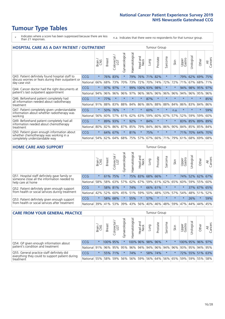- \* Indicates where a score has been suppressed because there are less than 21 responses.
- n.a. Indicates that there were no respondents for that tumour group.

| <b>HOSPITAL CARE AS A DAY PATIENT / OUTPATIENT</b>                                                                    |          |         |               |                          |                |                |                         |         |          | <b>Tumour Group</b> |         |                 |            |         |                |  |  |  |  |
|-----------------------------------------------------------------------------------------------------------------------|----------|---------|---------------|--------------------------|----------------|----------------|-------------------------|---------|----------|---------------------|---------|-----------------|------------|---------|----------------|--|--|--|--|
|                                                                                                                       |          | Brain   | <b>Breast</b> | colorectal /<br>LGT<br>Ü | Gynaecological | Haematological | ead and<br>Neck<br>Head | Lung    | Prostate | Sarcoma             | Skin    | Upper<br>Gastro | Urological | Other   | All<br>Cancers |  |  |  |  |
| Q43. Patient definitely found hospital staff to                                                                       | CCG      | $\star$ | 76%           | 83%                      | $\star$        | 79%            | 76%                     | 71%     | 82%      | $\ast$              |         | 79%             | 62%        | 69%     | 75%            |  |  |  |  |
| discuss worries or fears during their outpatient or<br>day case visit                                                 | National | 66%     | 68%           | 73%                      | 70%            | 73%            | 72%                     | 70%     | 74%      | 72%                 | 72%     | 71%             | 67%        | 68%     | 71%            |  |  |  |  |
| Q44. Cancer doctor had the right documents at<br>patient's last outpatient appointment                                | CCG      | $\star$ | 97%           | 97%                      |                |                | 99% 100% 93%            |         | 98%      | $\star$             |         | 94%             | 98%        | 95%     | 97%            |  |  |  |  |
|                                                                                                                       | National | 94%     | 96%           | 96%                      | 96%            | 97%            |                         | 96% 96% | 96%      | 96%                 | 96%     | 94%             | 96%        | 95%     | 96%            |  |  |  |  |
| Q46. Beforehand patient completely had                                                                                | CCG      | $\star$ | 77%           | $\star$                  | $\star$        | $\star$        | $\star$                 | 87%     | $\star$  | $\star$             |         | $\star$         | $\star$    | $\ast$  | 85%            |  |  |  |  |
| all information needed about radiotherapy<br>treatment                                                                | National | 91%     | 88%           | 83%                      | 88%            | 84%            | 86%                     | 86%     | 88%      | 88%                 | 84%     | 86%             | 83%        | 84%     | 86%            |  |  |  |  |
| Q47. Patient completely given understandable                                                                          | CCG      | $\star$ | 50%           | 76%                      | $\star$        |                | $\star$                 | 60%     | $\star$  | $\star$             | n.a.    | $\star$         | $\star$    | $\star$ | 59%            |  |  |  |  |
| information about whether radiotherapy was<br>working                                                                 | National | 56%     | 60%           | 57%                      | 61%            | 62%            | 63%                     | 59%     | 60%      | 67%                 | 57%     | 52%             | 59%        | 59%     | 60%            |  |  |  |  |
| Q49. Beforehand patient completely had all                                                                            | CCG      | $\star$ | 89%           | 93%                      |                | 92%            | $\star$                 | 84%     | $\star$  | $\star$             |         | 83%             | 85%        | 89%     | 89%            |  |  |  |  |
| information needed about chemotherapy<br>treatment                                                                    | National | 80%     | 82%           | 86%                      | 87%            | 85%            | 79%                     | 84%     | 86%      | 86%                 | 90%     | 84%             |            | 85% 85% | 84%            |  |  |  |  |
| Q50. Patient given enough information about<br>whether chemotherapy was working in a<br>completely understandable way | CCG      | $\star$ | 64%           | 67%                      | $\star$        | 81%            | $\star$                 | 75%     | $\star$  | $\star$             | $\star$ | 71%             | 70%        | 64%     | 70%            |  |  |  |  |
|                                                                                                                       | National | 54%     | 62%           | 64%                      | 68%            | 75%            | 57%                     | 67%     | 66%      | 71%                 | 79%     | 61%             | 68%        | 69%     | 68%            |  |  |  |  |
|                                                                                                                       |          |         |               |                          |                |                |                         |         |          |                     |         |                 |            |         |                |  |  |  |  |

#### **HOME CARE AND SUPPORT** Tumour Group

|                                                                                                                   |            | Brain<br>CNS | <b>Breast</b> | Colorectal | $\sigma$<br>Gynaecologic | Haematological | ad and<br>Neck<br>$\frac{1}{\sqrt{2}}$<br>Head | Lung   | Prostate | Sarcoma | Skin        | Upper<br>Gastro | Urological | Other       | All<br>Cancers |
|-------------------------------------------------------------------------------------------------------------------|------------|--------------|---------------|------------|--------------------------|----------------|------------------------------------------------|--------|----------|---------|-------------|-----------------|------------|-------------|----------------|
| Q51. Hospital staff definitely gave family or<br>someone close all the information needed to<br>help care at home | <b>CCG</b> | $\star$      | 61%           | 75%        | $\star$                  |                | 75% 83% 68% 66%                                |        |          | $\ast$  |             | 74%             |            | 52% 62%     | 67%            |
|                                                                                                                   | National   | 58%          | 58%           | 63%        | 57%                      | 62%            | 67%                                            |        | 59% 61%  | 62% 65% |             | 60%             | 59%        | 55%         | 60%            |
| Q52. Patient definitely given enough support<br>from health or social services during treatment                   | <b>CCG</b> | $\star$      |               | 58% 81%    | $\star$                  | 74%            | $\star$                                        |        | 66% 61%  | $\star$ | $\star$     | $\star$         |            | 37% 67% 65% |                |
|                                                                                                                   | National   | 42%          | 52%           | 60%        |                          |                | 45%   51%   59%                                | $50\%$ |          |         | 48% 53% 57% | 54%             | 48% 51%    |             | 52%            |
| Q53. Patient definitely given enough support<br>from health or social services after treatment                    | <b>CCG</b> | $\star$      |               | 58% 68%    | $\star$                  | 55%            | $\star$                                        | 57%    | $\star$  | $\star$ | $\star$     | $\star$         | 26%        | $\star$     | 59%            |
|                                                                                                                   | National   | 39%          |               | 41% 53%    | 39%                      | $ 43\% $       | 56%                                            | 40%    | 46%      |         | 48% 59%     | 47%             | 44%        | 44%         | 45%            |

| <b>CARE FROM YOUR GENERAL PRACTICE</b>                                                                     |              |         |               |                        |               |                | <b>Tumour Group</b> |      |          |         |         |                                                           |                       |       |                |
|------------------------------------------------------------------------------------------------------------|--------------|---------|---------------|------------------------|---------------|----------------|---------------------|------|----------|---------|---------|-----------------------------------------------------------|-----------------------|-------|----------------|
|                                                                                                            |              | Brain,  | <b>Breast</b> | ╮<br>Colorectal<br>LGT | Gynaecologica | Haematological | Head and<br>Neck    | Lung | Prostate | Sarcoma | Skin    | Upper<br>Gastro                                           | $\sigma$<br>Urologica | Other | All<br>Cancers |
| Q54. GP given enough information about<br>patient's condition and treatment                                | CCG          | $\star$ | 100% 95%      |                        |               |                | 100% 96% 98% 96%    |      |          | $\star$ |         |                                                           | 100% 95% 96% 97%      |       |                |
|                                                                                                            | National 91% |         |               |                        | 96% 95% 95%   |                |                     |      |          |         |         | 96% 94% 94% 96% 94% 96% 93% 95% 94% 95%                   |                       |       |                |
| Q55. General practice staff definitely did<br>everything they could to support patient during<br>treatment | <b>CCG</b>   | $\star$ |               | 55% 71%                |               | 74%            | $\star$             |      | 58% 74%  | $\star$ | $\star$ |                                                           | 72% 55% 51% 63%       |       |                |
|                                                                                                            | National 55% |         |               | 58% 59%                | 56%           |                |                     |      |          |         |         | 56%   59%   56%   64%   56%   65%   59%   59%   55%   58% |                       |       |                |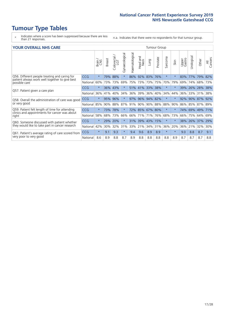- \* Indicates where a score has been suppressed because there are less than 21 responses.
- n.a. Indicates that there were no respondents for that tumour group.

#### **YOUR OVERALL NHS CARE** THE TWO CONTROLLER THE THE THROUP CHANGE THE TUMOUR GROUP

|            | Brain   | <b>Breast</b> | Colorectal | Gynaecological     | Haematological | <b>Bad and<br/>Neck</b><br>Head | Lung | Prostate | Sarcoma                                                                      | Skin    | Upper<br>Gastro | $\overline{c}$<br>Urologic | Other                        | All<br>Cancers                                   |
|------------|---------|---------------|------------|--------------------|----------------|---------------------------------|------|----------|------------------------------------------------------------------------------|---------|-----------------|----------------------------|------------------------------|--------------------------------------------------|
| <b>CCG</b> | $\star$ | 79%           | 88%        | $\star$            | 86%            | 92%                             | 83%  |          | $\star$                                                                      | $\star$ | 83%             | 77%                        | 79%                          | 82%                                              |
| National   | 60%     |               |            | 69%                | 75%            | 73%                             |      |          | 70%                                                                          | 79%     | 69%             | 74%                        |                              | 73%                                              |
| <b>CCG</b> | $\star$ |               |            |                    |                |                                 |      |          | $\star$                                                                      | $\star$ |                 |                            |                              | 38%                                              |
| National   | 36%     | 41%           | 40%        | 34%                | 36%            | 39%                             | 36%  |          | 34%                                                                          | 44%     | 36%             | 33%                        | 31%                          | 38%                                              |
| <b>CCG</b> | $\star$ | 95%           | 96%        |                    | 97%            | 96%                             |      |          | $\star$                                                                      | $\star$ | 92%             |                            |                              | 92%                                              |
| National   | 85%     | 90%           | 88%        | 87%                | 91%            | 90%                             | 90%  |          | 88%                                                                          | 90%     | 86%             |                            |                              |                                                  |
| <b>CCG</b> | $\star$ | 73%           | 78%        | $\star$            |                |                                 |      |          | $\star$                                                                      | $\ast$  |                 |                            |                              | 71%                                              |
| National   | 58%     | 68%           | 73%        | 66%                | 66%            | 71%                             | 71%  | 76%      | 68%                                                                          | 73%     | 66%             | 75%                        | 64%                          | 69%                                              |
| CCG        | $\star$ | 29%           | 20%        | $\star$            | 31%            |                                 | 43%  | 15%      | $\star$                                                                      | $\ast$  | 38%             |                            | 37%                          | 29%                                              |
| National   | 42%     | 30%           | 32%        | 31%                | 33%            | 21%                             | 34%  |          | 36%                                                                          | 20%     | 36%             | 21%                        | 32%                          | 30%                                              |
| <b>CCG</b> | $\star$ | 9.1           | 9.3        | $\star$            | 9.4            | 9.6                             | 8.9  | 8.9      | $\star$                                                                      | $\star$ | 9.0             | 8.8                        | 8.7                          | 9.1                                              |
| National   | 8.6     | 8.9           | 8.8        | 8.7                | 8.9            | 8.8                             | 8.8  | 8.8      | 8.8                                                                          | 8.9     | 8.7             | 8.7                        | 8.7                          | 8.8                                              |
|            |         |               |            | 73% 73%<br>36% 43% |                |                                 | 39%  | 51% 41%  | 76%<br>73% 75%<br>33% 38%<br>40%<br>94% 82%<br>88%<br>72% 85% 67% 80%<br>31% |         |                 |                            | 39% 26%<br>90%<br>85%<br>26% | 68%<br>$ 28\% $<br>87%<br>87% 89%<br>74% 69% 49% |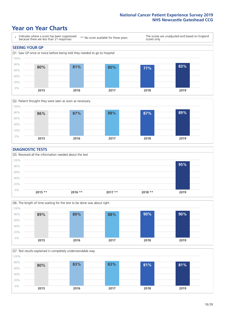### **Year on Year Charts**





### **DIAGNOSTIC TESTS**





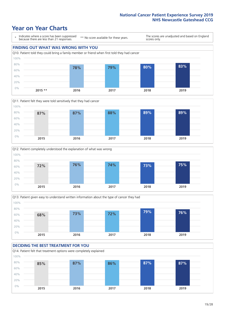### **Year on Year Charts**









### **DECIDING THE BEST TREATMENT FOR YOU**

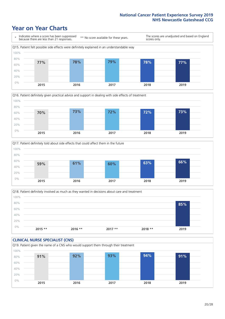### **Year on Year Charts**









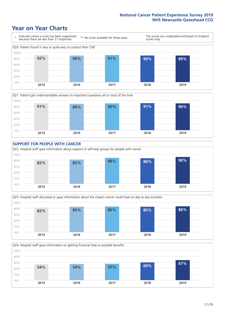### **Year on Year Charts**











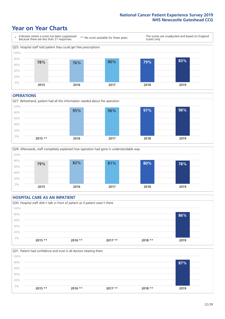### **Year on Year Charts**



#### **OPERATIONS**







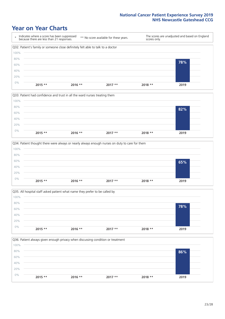### **Year on Year Charts**









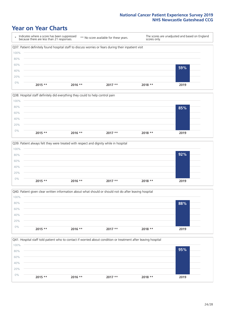### **Year on Year Charts**









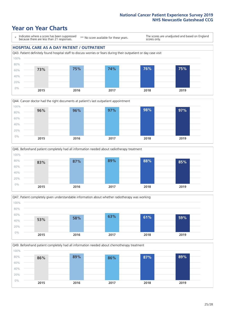### **Year on Year Charts**

\* Indicates where a score has been suppressed because there are less than 21 responses.

\*\* No score available for these years.

The scores are unadjusted and based on England scores only.

#### **HOSPITAL CARE AS A DAY PATIENT / OUTPATIENT**









Q49. Beforehand patient completely had all information needed about chemotherapy treatment 100%

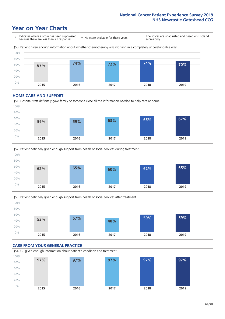### **Year on Year Charts**



#### **HOME CARE AND SUPPORT**







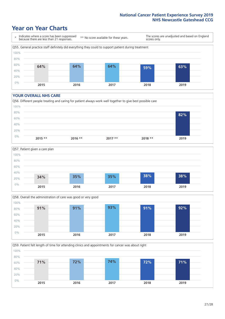### **Year on Year Charts**

\* Indicates where a score has been suppressed because there are less than 21 responses. \*\* No score available for these years. The scores are unadjusted and based on England scores only. Q55. General practice staff definitely did everything they could to support patient during treatment 0% 20% 40% 60% 80% 100% **2015 2016 2017 2018 2019 64% 64% 64% 59% 63%**

#### **YOUR OVERALL NHS CARE**

0% 20%







**2015 2016 2017 2018 2019**

Q59. Patient felt length of time for attending clinics and appointments for cancer was about right 40% 60% 80% 100% **71% 72% 74% 72% 71%**